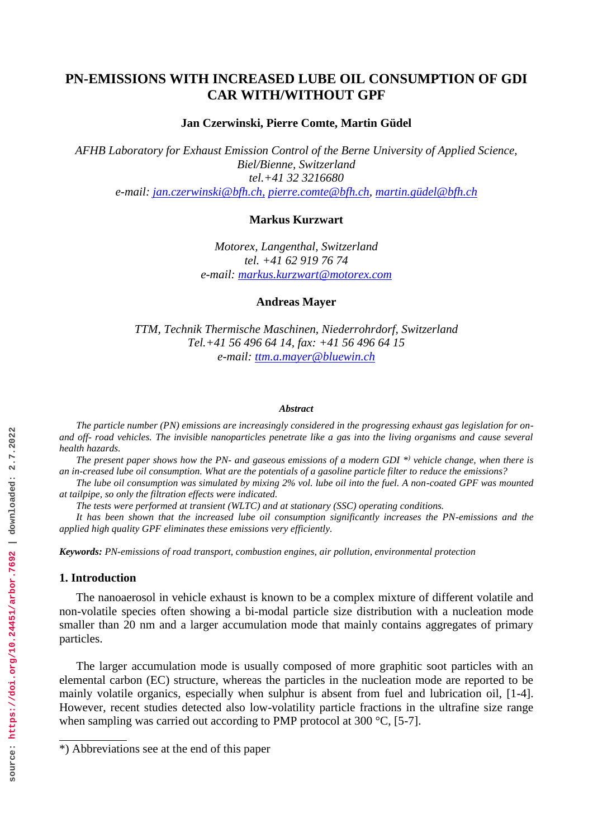# **PN-EMISSIONS WITH INCREASED LUBE OIL CONSUMPTION OF GDI CAR WITH/WITHOUT GPF**

**Jan Czerwinski, Pierre Comte, Martin Güdel**

*AFHB Laboratory for Exhaust Emission Control of the Berne University of Applied Science, Biel/Bienne, Switzerland tel.+41 32 3216680 e-mail: [jan.czerwinski@bfh.ch,](mailto:jan.czerwinski@bfh.ch,) [pierre.comte@bfh.ch,](mailto:pierre.comte@bfh.ch) [martin.güdel@bfh.ch](mailto:martin.güdel@bfh.ch)*

### **Markus Kurzwart**

*Motorex, Langenthal, Switzerland tel. +41 62 919 76 74 e-mail: [markus.kurzwart@motorex.com](mailto:markus.kurzwart@motorex.com)*

### **Andreas Mayer**

*TTM, Technik Thermische Maschinen, Niederrohrdorf, Switzerland Tel.+41 56 496 64 14, fax: +41 56 496 64 15 e-mail: [ttm.a.mayer@bluewin.ch](mailto:ttm.a.mayer@bluewin.ch)*

#### *Abstract*

*The particle number (PN) emissions are increasingly considered in the progressing exhaust gas legislation for onand off- road vehicles. The invisible nanoparticles penetrate like a gas into the living organisms and cause several health hazards.*

*The present paper shows how the PN- and gaseous emissions of a modern GDI \*) vehicle change, when there is an in-creased lube oil consumption. What are the potentials of a gasoline particle filter to reduce the emissions?*

*The lube oil consumption was simulated by mixing 2% vol. lube oil into the fuel. A non-coated GPF was mounted at tailpipe, so only the filtration effects were indicated.*

*The tests were performed at transient (WLTC) and at stationary (SSC) operating conditions.*

*It has been shown that the increased lube oil consumption significantly increases the PN-emissions and the applied high quality GPF eliminates these emissions very efficiently.*

*Keywords: PN-emissions of road transport, combustion engines, air pollution, environmental protection*

### **1. Introduction**

 $\overline{a}$ 

The nanoaerosol in vehicle exhaust is known to be a complex mixture of different volatile and non-volatile species often showing a bi-modal particle size distribution with a nucleation mode smaller than 20 nm and a larger accumulation mode that mainly contains aggregates of primary particles.

The larger accumulation mode is usually composed of more graphitic soot particles with an elemental carbon (EC) structure, whereas the particles in the nucleation mode are reported to be mainly volatile organics, especially when sulphur is absent from fuel and lubrication oil, [1-4]. However, recent studies detected also low-volatility particle fractions in the ultrafine size range when sampling was carried out according to PMP protocol at 300 °C, [5-7].

<sup>\*)</sup> Abbreviations see at the end of this paper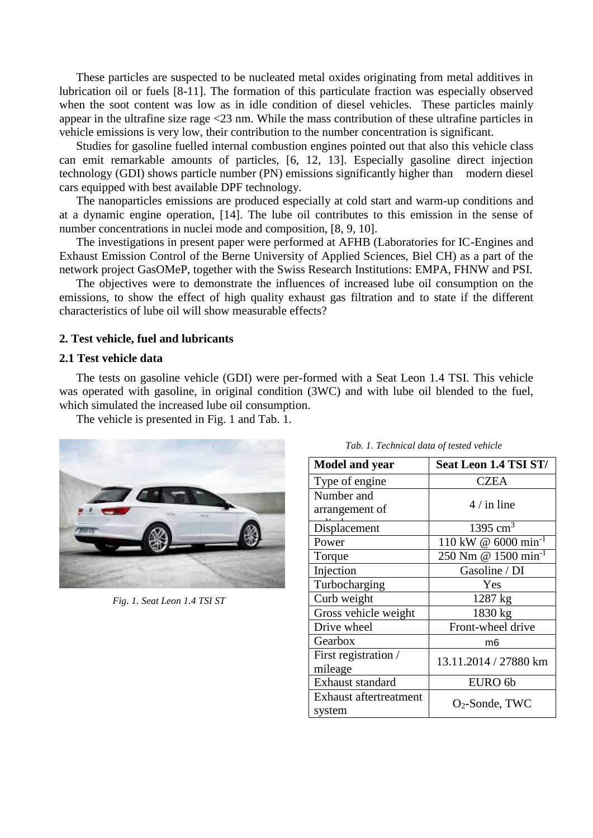These particles are suspected to be nucleated metal oxides originating from metal additives in lubrication oil or fuels [8-11]. The formation of this particulate fraction was especially observed when the soot content was low as in idle condition of diesel vehicles. These particles mainly appear in the ultrafine size rage <23 nm. While the mass contribution of these ultrafine particles in vehicle emissions is very low, their contribution to the number concentration is significant.

Studies for gasoline fuelled internal combustion engines pointed out that also this vehicle class can emit remarkable amounts of particles, [6, 12, 13]. Especially gasoline direct injection technology (GDI) shows particle number (PN) emissions significantly higher than modern diesel cars equipped with best available DPF technology.

The nanoparticles emissions are produced especially at cold start and warm-up conditions and at a dynamic engine operation, [14]. The lube oil contributes to this emission in the sense of number concentrations in nuclei mode and composition, [8, 9, 10].

The investigations in present paper were performed at AFHB (Laboratories for IC-Engines and Exhaust Emission Control of the Berne University of Applied Sciences, Biel CH) as a part of the network project GasOMeP, together with the Swiss Research Institutions: EMPA, FHNW and PSI.

The objectives were to demonstrate the influences of increased lube oil consumption on the emissions, to show the effect of high quality exhaust gas filtration and to state if the different characteristics of lube oil will show measurable effects?

## **2. Test vehicle, fuel and lubricants**

### **2.1 Test vehicle data**

The tests on gasoline vehicle (GDI) were per-formed with a Seat Leon 1.4 TSI. This vehicle was operated with gasoline, in original condition (3WC) and with lube oil blended to the fuel, which simulated the increased lube oil consumption.

The vehicle is presented in Fig. 1 and Tab. 1.



*Fig. 1. Seat Leon 1.4 TSI ST*

| <b>Model and year</b>            | Seat Leon 1.4 TSI ST/            |
|----------------------------------|----------------------------------|
| Type of engine                   | <b>CZEA</b>                      |
| Number and<br>arrangement of     | $4/$ in line                     |
| Displacement                     | 1395 $cm3$                       |
| Power                            | 110 kW @ 6000 min <sup>-1</sup>  |
| Torque                           | 250 Nm @ $1500 \text{ min}^{-1}$ |
| Injection                        | Gasoline / DI                    |
| Turbocharging                    | Yes                              |
| Curb weight                      | 1287 kg                          |
| Gross vehicle weight             | 1830 kg                          |
| Drive wheel                      | Front-wheel drive                |
| Gearbox                          | m6                               |
| First registration /<br>mileage  | 13.11.2014 / 27880 km            |
| Exhaust standard                 | EURO 6b                          |
| Exhaust aftertreatment<br>system | $O_2$ -Sonde, TWC                |

*Tab. 1. Technical data of tested vehicle*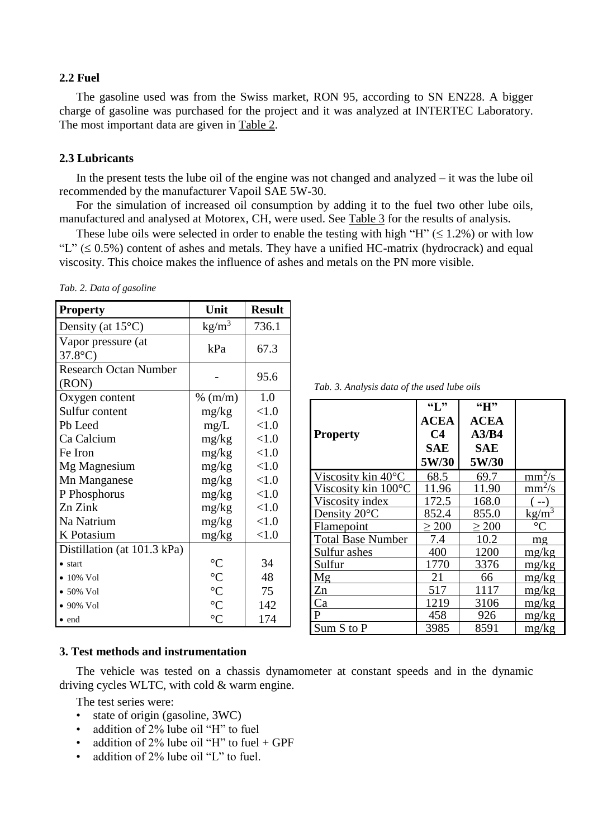## **2.2 Fuel**

The gasoline used was from the Swiss market, RON 95, according to SN EN228. A bigger charge of gasoline was purchased for the project and it was analyzed at INTERTEC Laboratory. The most important data are given in Table 2.

### **2.3 Lubricants**

In the present tests the lube oil of the engine was not changed and analyzed – it was the lube oil recommended by the manufacturer Vapoil SAE 5W-30.

For the simulation of increased oil consumption by adding it to the fuel two other lube oils, manufactured and analysed at Motorex, CH, were used. See Table 3 for the results of analysis.

These lube oils were selected in order to enable the testing with high "H" ( $\leq 1.2\%$ ) or with low "L"  $(\leq 0.5\%)$  content of ashes and metals. They have a unified HC-matrix (hydrocrack) and equal viscosity. This choice makes the influence of ashes and metals on the PN more visible.

| <b>Property</b>                       | Unit              | <b>Result</b> |
|---------------------------------------|-------------------|---------------|
| Density (at $15^{\circ}$ C)           | kg/m <sup>3</sup> | 736.1         |
| Vapor pressure (at<br>$37.8$ °C)      | kPa               | 67.3          |
| <b>Research Octan Number</b><br>(RON) |                   | 95.6          |
| Oxygen content                        | $%$ (m/m)         | 1.0           |
| Sulfur content                        | mg/kg             | < 1.0         |
| Pb Leed                               | mg/L              | < 1.0         |
| Ca Calcium                            | mg/kg             | < 1.0         |
| Fe Iron                               | mg/kg             | < 1.0         |
| Mg Magnesium                          | mg/kg             | < 1.0         |
| Mn Manganese                          | mg/kg             | < 1.0         |
| P Phosphorus                          | mg/kg             | < 1.0         |
| Zn Zink                               | mg/kg             | < 1.0         |
| Na Natrium                            | mg/kg             | < 1.0         |
| <b>K</b> Potasium                     | mg/kg             | < 1.0         |
| Distillation (at 101.3 kPa)           |                   |               |
| start                                 | $\rm ^{\circ}C$   | 34            |
| $\bullet$ 10% Vol                     | $\rm ^{\circ}C$   | 48            |
| $\bullet$ 50% Vol                     | $\rm ^{\circ}C$   | 75            |
| $\bullet$ 90% Vol                     | $\rm ^{\circ}C$   | 142           |
| end                                   | $\rm ^{\circ}C$   | 174           |

*Tab. 2. Data of gasoline*

| <b>Property</b>               | <b>ACEA</b><br>C <sub>4</sub><br><b>SAE</b><br>5W/30 | <b>ACEA</b><br>A3/B4<br><b>SAE</b><br>5W/30 |                                       |
|-------------------------------|------------------------------------------------------|---------------------------------------------|---------------------------------------|
| Viscosity kin 40°C            | 68.5                                                 | 69.7                                        | $mm^2/s$                              |
| Viscosity kin $100^{\circ}$ C | 11.96                                                | 11.90                                       | $mm^2/s$                              |
| Viscosity index               | 172.5                                                | 168.0                                       |                                       |
| Density 20°C                  | 852.4                                                | 855.0                                       | $\frac{\text{kg/m}^3}{\text{kg/m}^3}$ |
| Flamepoint                    | $\geq 200$                                           | $\geq 200$                                  | $\rm ^{\circ}C$                       |
| <b>Total Base Number</b>      | 7.4                                                  | 10.2                                        | mg                                    |
| Sulfur ashes                  | 400                                                  | 1200                                        | mg/kg                                 |
| Sulfur                        | 1770                                                 | 3376                                        | mg/kg                                 |
| Mg                            | 21                                                   | 66                                          | mg/kg                                 |
| Zn                            | 517                                                  | 1117                                        | mg/kg                                 |
| Ca                            | 1219                                                 | 3106                                        | mg/kg                                 |
| P                             | 458                                                  | 926                                         | mg/kg                                 |
| Sum S to P                    | 3985                                                 | 8591                                        | mg/kg                                 |

 $\sqrt{1}$  **61 22** 

 $\sqrt{H}$ 

# **3. Test methods and instrumentation**

The vehicle was tested on a chassis dynamometer at constant speeds and in the dynamic driving cycles WLTC, with cold & warm engine.

The test series were:

- state of origin (gasoline, 3WC)
- addition of 2% lube oil "H" to fuel
- addition of  $2\%$  lube oil "H" to fuel + GPF
- addition of 2% lube oil "L" to fuel.

*Tab. 3. Analysis data of the used lube oils*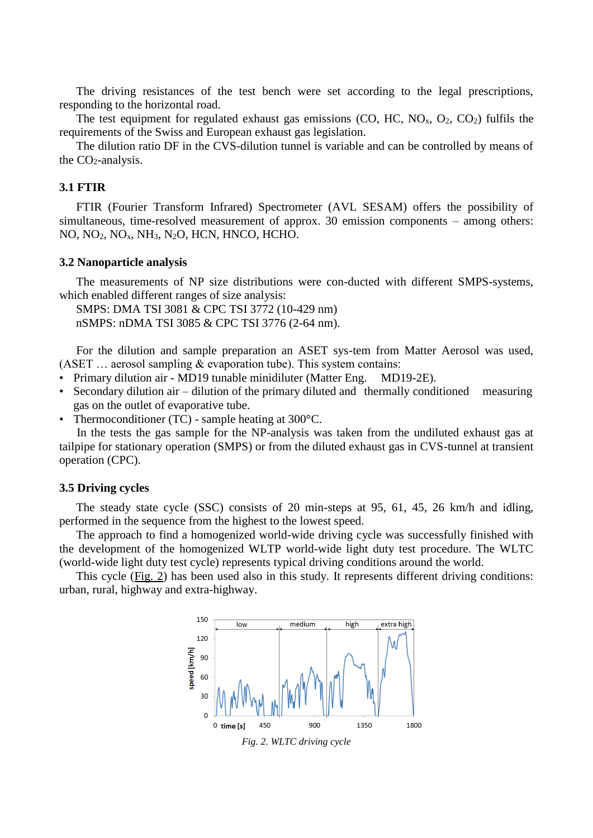The driving resistances of the test bench were set according to the legal prescriptions, responding to the horizontal road.

The test equipment for regulated exhaust gas emissions (CO, HC,  $NO<sub>x</sub>$ ,  $O<sub>2</sub>$ ,  $CO<sub>2</sub>$ ) fulfils the requirements of the Swiss and European exhaust gas legislation.

The dilution ratio DF in the CVS-dilution tunnel is variable and can be controlled by means of the  $CO<sub>2</sub>$ -analysis.

## **3.1 FTIR**

FTIR (Fourier Transform Infrared) Spectrometer (AVL SESAM) offers the possibility of simultaneous, time-resolved measurement of approx. 30 emission components – among others: NO, NO2, NOx, NH3, N2O, HCN, HNCO, HCHO.

### **3.2 Nanoparticle analysis**

The measurements of NP size distributions were con-ducted with different SMPS-systems, which enabled different ranges of size analysis:

SMPS: DMA TSI 3081 & CPC TSI 3772 (10-429 nm) nSMPS: nDMA TSI 3085 & CPC TSI 3776 (2-64 nm).

For the dilution and sample preparation an ASET sys-tem from Matter Aerosol was used, (ASET  $\ldots$  aerosol sampling  $\&$  evaporation tube). This system contains:

- Primary dilution air MD19 tunable minidiluter (Matter Eng. MD19-2E).
- Secondary dilution air dilution of the primary diluted and thermally conditioned measuring gas on the outlet of evaporative tube.
- Thermoconditioner (TC) sample heating at 300 °C.

In the tests the gas sample for the NP-analysis was taken from the undiluted exhaust gas at tailpipe for stationary operation (SMPS) or from the diluted exhaust gas in CVS-tunnel at transient operation (CPC).

#### **3.5 Driving cycles**

The steady state cycle (SSC) consists of 20 min-steps at 95, 61, 45, 26 km/h and idling, performed in the sequence from the highest to the lowest speed.

The approach to find a homogenized world-wide driving cycle was successfully finished with the development of the homogenized WLTP world-wide light duty test procedure. The WLTC (world-wide light duty test cycle) represents typical driving conditions around the world.

This cycle (Fig. 2) has been used also in this study. It represents different driving conditions: urban, rural, highway and extra-highway.

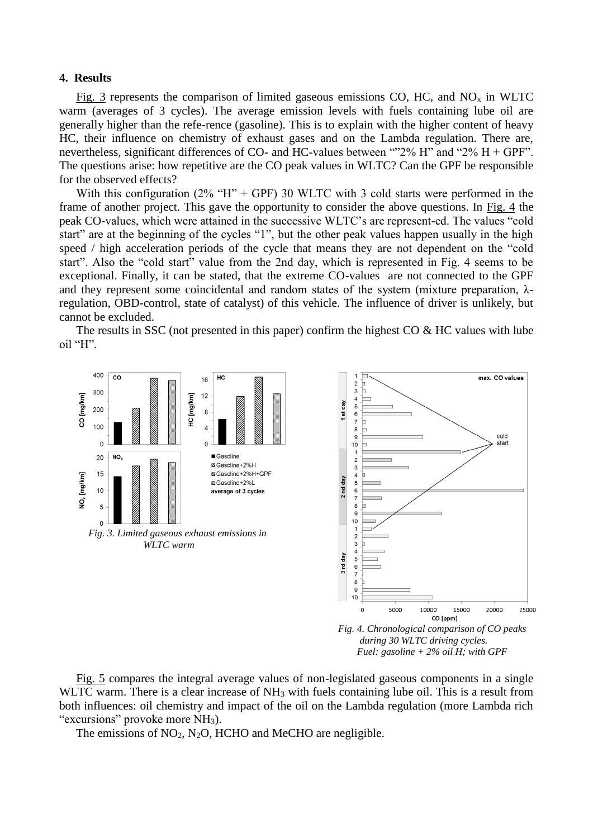### **4. Results**

Fig. 3 represents the comparison of limited gaseous emissions CO, HC, and  $NO<sub>x</sub>$  in WLTC warm (averages of 3 cycles). The average emission levels with fuels containing lube oil are generally higher than the refe-rence (gasoline). This is to explain with the higher content of heavy HC, their influence on chemistry of exhaust gases and on the Lambda regulation. There are, nevertheless, significant differences of CO- and HC-values between ""2% H" and "2% H + GPF". The questions arise: how repetitive are the CO peak values in WLTC? Can the GPF be responsible for the observed effects?

With this configuration  $(2\%$  "H" + GPF) 30 WLTC with 3 cold starts were performed in the frame of another project. This gave the opportunity to consider the above questions. In Fig. 4 the peak CO-values, which were attained in the successive WLTC's are represent-ed. The values "cold start" are at the beginning of the cycles "1", but the other peak values happen usually in the high speed / high acceleration periods of the cycle that means they are not dependent on the "cold start". Also the "cold start" value from the 2nd day, which is represented in Fig. 4 seems to be exceptional. Finally, it can be stated, that the extreme CO-values are not connected to the GPF and they represent some coincidental and random states of the system (mixture preparation, λregulation, OBD-control, state of catalyst) of this vehicle. The influence of driver is unlikely, but cannot be excluded.

The results in SSC (not presented in this paper) confirm the highest CO  $\&$  HC values with lube oil "H".



Fig. 5 compares the integral average values of non-legislated gaseous components in a single WLTC warm. There is a clear increase of NH<sub>3</sub> with fuels containing lube oil. This is a result from both influences: oil chemistry and impact of the oil on the Lambda regulation (more Lambda rich "excursions" provoke more NH<sub>3</sub>).

The emissions of NO<sub>2</sub>, N<sub>2</sub>O, HCHO and MeCHO are negligible.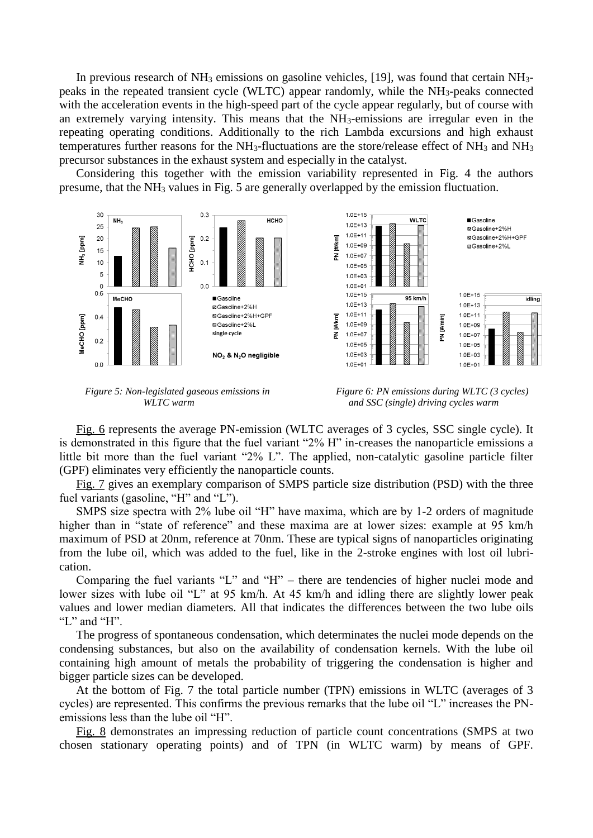In previous research of  $NH_3$  emissions on gasoline vehicles, [19], was found that certain  $NH_3$ peaks in the repeated transient cycle (WLTC) appear randomly, while the NH3-peaks connected with the acceleration events in the high-speed part of the cycle appear regularly, but of course with an extremely varying intensity. This means that the NH3-emissions are irregular even in the repeating operating conditions. Additionally to the rich Lambda excursions and high exhaust temperatures further reasons for the  $NH_3$ -fluctuations are the store/release effect of  $NH_3$  and  $NH_3$ precursor substances in the exhaust system and especially in the catalyst.

Considering this together with the emission variability represented in Fig. 4 the authors presume, that the NH<sup>3</sup> values in Fig. 5 are generally overlapped by the emission fluctuation.



*Figure 5: Non-legislated gaseous emissions in WLTC warm*



Fig. 6 represents the average PN-emission (WLTC averages of 3 cycles, SSC single cycle). It is demonstrated in this figure that the fuel variant "2% H" in-creases the nanoparticle emissions a little bit more than the fuel variant "2% L". The applied, non-catalytic gasoline particle filter (GPF) eliminates very efficiently the nanoparticle counts.

Fig. 7 gives an exemplary comparison of SMPS particle size distribution (PSD) with the three fuel variants (gasoline, "H" and "L").

SMPS size spectra with 2% lube oil "H" have maxima, which are by 1-2 orders of magnitude higher than in "state of reference" and these maxima are at lower sizes: example at 95 km/h maximum of PSD at 20nm, reference at 70nm. These are typical signs of nanoparticles originating from the lube oil, which was added to the fuel, like in the 2-stroke engines with lost oil lubrication.

Comparing the fuel variants "L" and "H" – there are tendencies of higher nuclei mode and lower sizes with lube oil "L" at 95 km/h. At 45 km/h and idling there are slightly lower peak values and lower median diameters. All that indicates the differences between the two lube oils "L" and "H".

The progress of spontaneous condensation, which determinates the nuclei mode depends on the condensing substances, but also on the availability of condensation kernels. With the lube oil containing high amount of metals the probability of triggering the condensation is higher and bigger particle sizes can be developed.

At the bottom of Fig. 7 the total particle number (TPN) emissions in WLTC (averages of 3 cycles) are represented. This confirms the previous remarks that the lube oil "L" increases the PNemissions less than the lube oil "H".

Fig. 8 demonstrates an impressing reduction of particle count concentrations (SMPS at two chosen stationary operating points) and of TPN (in WLTC warm) by means of GPF.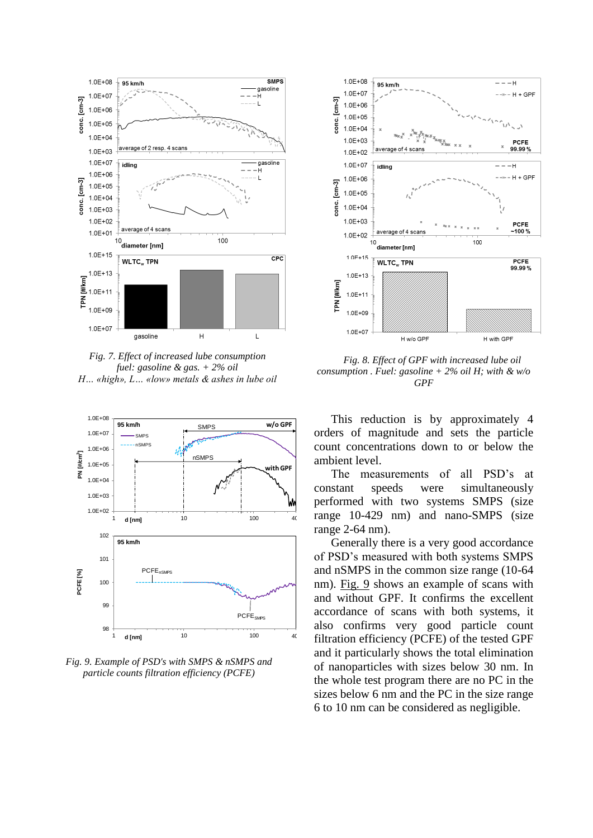

*Fig. 7. Effect of increased lube consumption fuel: gasoline & gas. + 2% oil H… «high», L… «low» metals & ashes in lube oil*



*Fig. 9. Example of PSD's with SMPS & nSMPS and particle counts filtration efficiency (PCFE)*



*Fig. 8. Effect of GPF with increased lube oil consumption . Fuel: gasoline + 2% oil H; with & w/o GPF*

This reduction is by approximately 4 orders of magnitude and sets the particle count concentrations down to or below the ambient level.

The measurements of all PSD's at constant speeds were simultaneously performed with two systems SMPS (size range 10-429 nm) and nano-SMPS (size range 2-64 nm).

Generally there is a very good accordance of PSD's measured with both systems SMPS and nSMPS in the common size range (10-64 nm). Fig. 9 shows an example of scans with and without GPF. It confirms the excellent accordance of scans with both systems, it also confirms very good particle count filtration efficiency (PCFE) of the tested GPF and it particularly shows the total elimination of nanoparticles with sizes below 30 nm. In the whole test program there are no PC in the sizes below 6 nm and the PC in the size range 6 to 10 nm can be considered as negligible.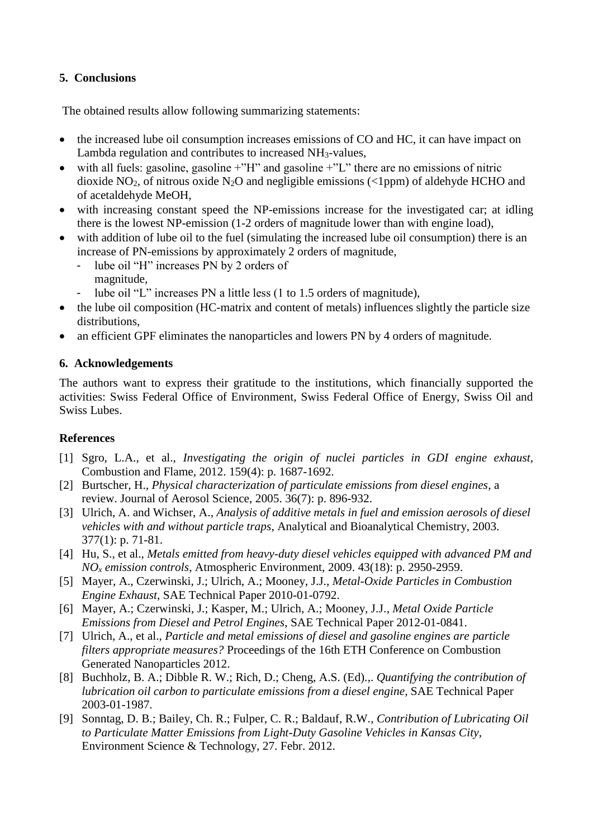# **5. Conclusions**

The obtained results allow following summarizing statements:

- the increased lube oil consumption increases emissions of CO and HC, it can have impact on Lambda regulation and contributes to increased NH3-values,
- with all fuels: gasoline, gasoline  $+$ "H" and gasoline  $+$ "L" there are no emissions of nitric dioxide NO<sub>2</sub>, of nitrous oxide N<sub>2</sub>O and negligible emissions (<1ppm) of aldehyde HCHO and of acetaldehyde MeOH,
- with increasing constant speed the NP-emissions increase for the investigated car; at idling there is the lowest NP-emission (1-2 orders of magnitude lower than with engine load),
- with addition of lube oil to the fuel (simulating the increased lube oil consumption) there is an increase of PN-emissions by approximately 2 orders of magnitude,
	- lube oil "H" increases PN by 2 orders of magnitude,
	- lube oil "L" increases PN a little less (1 to 1.5 orders of magnitude),
- the lube oil composition (HC-matrix and content of metals) influences slightly the particle size distributions,
- an efficient GPF eliminates the nanoparticles and lowers PN by 4 orders of magnitude.

## **6. Acknowledgements**

The authors want to express their gratitude to the institutions, which financially supported the activities: Swiss Federal Office of Environment, Swiss Federal Office of Energy, Swiss Oil and Swiss Lubes.

## **References**

- [1] Sgro, L.A., et al., *Investigating the origin of nuclei particles in GDI engine exhaust,* Combustion and Flame, 2012. 159(4): p. 1687-1692.
- [2] Burtscher, H., *Physical characterization of particulate emissions from diesel engines*, a review. Journal of Aerosol Science, 2005. 36(7): p. 896-932.
- [3] Ulrich, A. and Wichser, A., *Analysis of additive metals in fuel and emission aerosols of diesel vehicles with and without particle traps*, Analytical and Bioanalytical Chemistry, 2003. 377(1): p. 71-81.
- [4] Hu, S., et al., *Metals emitted from heavy-duty diesel vehicles equipped with advanced PM and NO<sup>x</sup> emission controls*, Atmospheric Environment, 2009. 43(18): p. 2950-2959.
- [5] Mayer, A., Czerwinski, J.; Ulrich, A.; Mooney, J.J., *Metal-Oxide Particles in Combustion Engine Exhaust*, SAE Technical Paper 2010-01-0792.
- [6] Mayer, A.; Czerwinski, J.; Kasper, M.; Ulrich, A.; Mooney, J.J., *Metal Oxide Particle Emissions from Diesel and Petrol Engines*, SAE Technical Paper 2012-01-0841.
- [7] Ulrich, A., et al., *Particle and metal emissions of diesel and gasoline engines are particle filters appropriate measures?* Proceedings of the 16th ETH Conference on Combustion Generated Nanoparticles 2012.
- [8] Buchholz, B. A.; Dibble R. W.; Rich, D.; Cheng, A.S. (Ed).,. *Quantifying the contribution of lubrication oil carbon to particulate emissions from a diesel engine,* SAE Technical Paper 2003-01-1987.
- [9] Sonntag, D. B.; Bailey, Ch. R.; Fulper, C. R.; Baldauf, R.W., *Contribution of Lubricating Oil to Particulate Matter Emissions from Light-Duty Gasoline Vehicles in Kansas City*, Environment Science & Technology, 27. Febr. 2012.